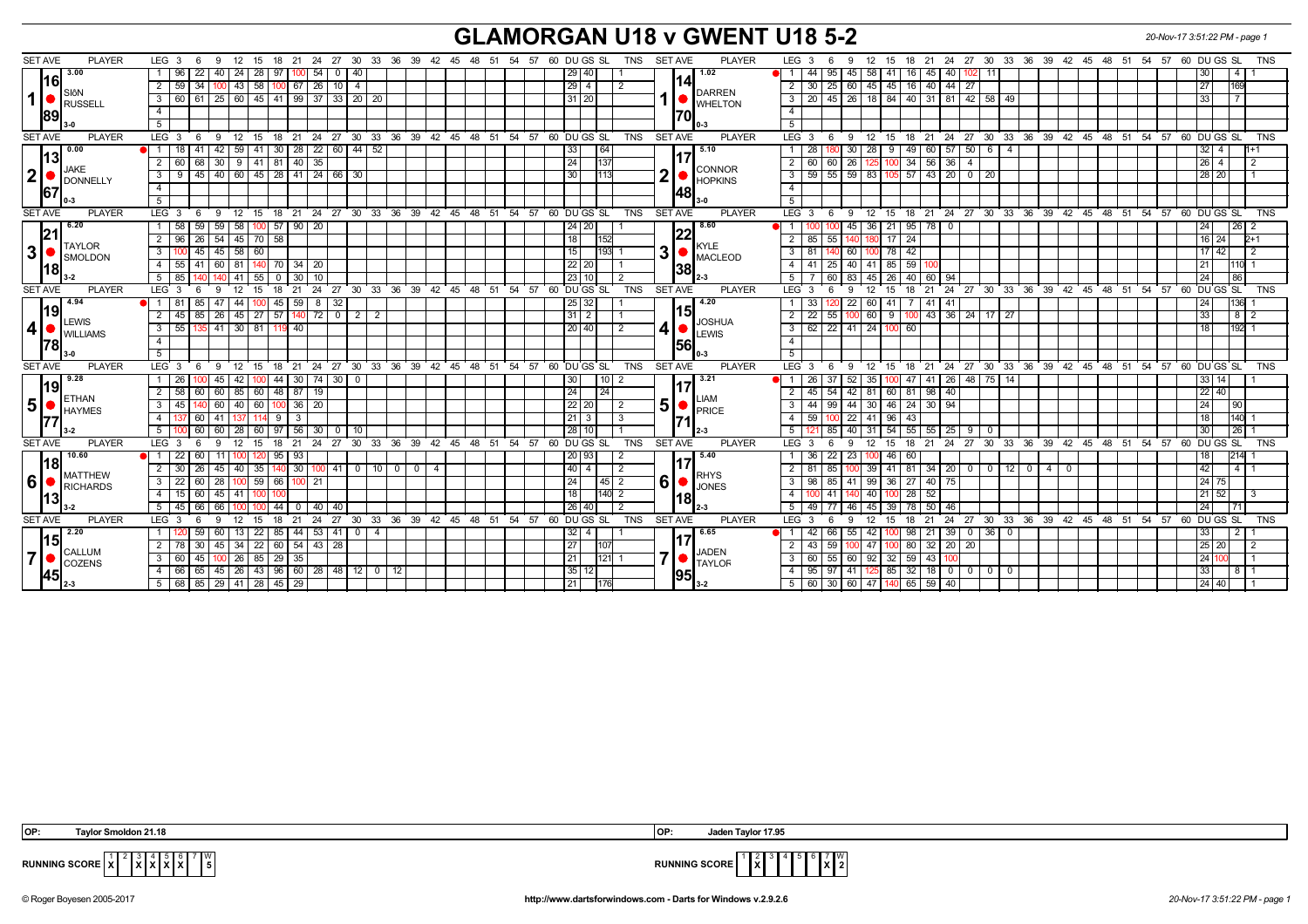## **GLAMORGAN U18 v GWENT U18 5-2** *20-Nov-17 3:51:22 PM - page 1*

| <b>SET AVE</b><br><b>PLAYER</b>                                  | LEG <sub>3</sub><br>6<br>-9<br>12<br>15<br>18                                      |                                            |      |                                  | 21  24  27  30  33  36  39  42  45  48  51  54  57  60  DU GS  SL<br>TNS   | <b>SET AVE</b><br><b>PLAYER</b>                        | 18  21  24  27  30  33  36  39  42  45  48  51  54  57  60  DU GS  SL<br>LEG 3<br>12<br><b>TNS</b><br>15<br>6<br>-9                                                         |
|------------------------------------------------------------------|------------------------------------------------------------------------------------|--------------------------------------------|------|----------------------------------|----------------------------------------------------------------------------|--------------------------------------------------------|-----------------------------------------------------------------------------------------------------------------------------------------------------------------------------|
| 3.00                                                             | 22<br>40   24<br>28 I<br>1   96<br>97                                              | $54$ 0<br>40                               |      |                                  | 29   40                                                                    | 1.02                                                   | $45 \ 58 \ 41$<br>44<br>16 I<br>45 40 102<br>95<br>-11 I<br>l 4                                                                                                             |
| 116 I<br>SlôN<br>$1$ $\bullet$<br>RUSSELL<br>89                  | 34<br>$100$ 43<br> 58 <br>2 59                                                     | $100 \mid 67 \mid 26 \mid 10 \mid 4$       |      |                                  | $29 \mid 4$                                                                | 141                                                    | 30   25   60   45   45   16   40   44   27<br>2 <sup>1</sup><br>27 <sup>1</sup><br>169                                                                                      |
|                                                                  | 3   60   61   25   60   45   41   99   37   33   20   20                           |                                            |      |                                  | 31 20                                                                      | DARREN<br><b>UNHELTON</b>                              | 20   45   26   18   84   40   31   81   42   58   49<br>33<br>3 I                                                                                                           |
|                                                                  | $\overline{4}$                                                                     |                                            |      |                                  |                                                                            | 70I                                                    | $\overline{4}$                                                                                                                                                              |
|                                                                  | 5 <sup>5</sup>                                                                     |                                            |      |                                  |                                                                            |                                                        | 5                                                                                                                                                                           |
| <b>SET AVE</b><br><b>PLAYER</b>                                  | LEG 3<br>$9 \t12$<br>- 6                                                           |                                            |      |                                  | 15 18 21 24 27 30 33 36 39 42 45 48 51 54 57 60 DU GS SL<br>TNS            | SET AVE<br><b>PLAYER</b>                               | LEG 3<br>12 15 18 21 24 27 30 33 36 39 42 45 48 51 54 57 60 DUGS SL TNS<br>- 6<br>- 9                                                                                       |
| 0.00                                                             | 41<br>42   59  <br>l 18                                                            | 41 30 28 22 60 44 52                       |      |                                  | 33<br>164                                                                  | 5.10                                                   | 30 28 9 49 60 57 50 6 4<br>28<br>32 I 4                                                                                                                                     |
| 13                                                               | 68<br>$41$ 81<br>40<br>2<br>30   9  <br>60                                         | 35                                         |      |                                  | 24<br>$\overline{1137}$                                                    |                                                        | 34<br>$56$ 36<br>2<br>60<br>26<br>$\overline{4}$<br>$26$   4<br>60                                                                                                          |
| <b>JAKE</b><br>$\boldsymbol{2}$<br>DONNELLY<br>67                | $3 \mid 9 \mid 45 \mid 40 \mid 60 \mid 45 \mid 28 \mid 41 \mid 24 \mid 66 \mid 30$ |                                            |      |                                  | 30<br>1113                                                                 | CONNOR<br>2<br><b>HOPKINS</b>                          | 3<br>28   20                                                                                                                                                                |
|                                                                  | $\overline{4}$                                                                     |                                            |      |                                  |                                                                            | 48                                                     | $\overline{4}$                                                                                                                                                              |
|                                                                  | 5                                                                                  |                                            |      |                                  |                                                                            |                                                        | 5                                                                                                                                                                           |
| <b>SET AVE</b><br><b>PLAYER</b>                                  | 9 12<br>LEG <sub>3</sub><br>6                                                      |                                            |      |                                  | 15 18 21 24 27 30 33 36 39 42 45 48 51 54 57 60 DU GS SL<br>TNS            | <b>SET AVE</b><br><b>PLAYER</b>                        | $LEG_3$<br>12 15 18 21 24 27 30 33 36 39 42 45 48 51 54 57 60 DUGS SL<br>6<br>- 9<br>TNS                                                                                    |
| 6.20                                                             | 100 57 90 20<br>59 <sup>°</sup><br>59 58<br>1   58                                 |                                            |      |                                  | 24   20                                                                    | 8.60                                                   | 45   36   21   95   78   0<br>26<br>24 I                                                                                                                                    |
| 21<br><b>TAYLOR</b>                                              | 70 58<br>$\overline{2}$<br>26<br>54<br>45                                          |                                            |      |                                  |                                                                            | KYLE<br>$\overline{\mathbf{3}}$<br>MACLEOD<br> 38      | $\overline{2}$<br>85<br>24<br>16 24<br>2+1                                                                                                                                  |
| 3 <br>SMOLDON<br>118                                             | 45<br>60<br>3 <sup>1</sup><br>45   58                                              |                                            |      |                                  | 15<br>1931                                                                 |                                                        | 42<br>3 I<br>60<br>17 42<br>-81<br>78 I                                                                                                                                     |
|                                                                  | 4   55  <br>41   60   81<br>140 70 34 20                                           |                                            |      |                                  | $22$   20                                                                  |                                                        | $85 \mid 59$<br>40   41<br>4 I<br>-41<br>21 I<br>25                                                                                                                         |
|                                                                  | $5 \mid 85$<br>55<br>l 41<br>30                                                    | 10                                         |      |                                  | 23 10                                                                      |                                                        | 5 <sup>5</sup><br>83 I<br>  40  <br>60 I 94<br>24<br>45 I 26 I<br>86                                                                                                        |
| <b>SET AVE</b><br><b>PLAYER</b>                                  | LEG <sub>3</sub><br>15<br>12<br>18<br>6<br>-9                                      |                                            |      | 21 24 27 30 33 36 39 42 45 48 51 | DU GS SL<br><b>TNS</b><br>54 57 60                                         | <b>SET AVE</b><br><b>PLAYER</b>                        | 60 DUGS SL<br>LEG <sub>3</sub><br>12<br>18 21 24 27 30 33 36 39 42 45 48 51 54 57<br>15<br><b>TNS</b><br>6<br>-9                                                            |
| 4.94                                                             | 59<br>85<br>44<br>45                                                               | -32<br>8                                   |      |                                  | 32<br>25                                                                   | 4.20<br>15<br><b>JOSHUA</b><br>4<br><b>LEWIS</b><br>56 | 22<br>-33<br>60<br>-41<br>41<br>136I                                                                                                                                        |
| 19 <br><b>LEWIS</b><br> 4 <br><b>WILLIAMS</b>                    | 85   26   45   27   57   140   72   0   2   2<br>$2 \mid 45 \mid$                  |                                            |      |                                  | 31 2                                                                       |                                                        | 100 60 9 100 43 36 24 17 27<br>$\overline{2}$<br>22<br>33 I<br>  8   2<br>55                                                                                                |
|                                                                  | 41 30 81 119 40<br>55<br>3<br>135 I                                                |                                            |      |                                  | 20 40 <br>2                                                                |                                                        | 62<br>$22$   41   24   100   60<br>3<br>192 1<br>18 I                                                                                                                       |
| 78                                                               | $\overline{4}$                                                                     |                                            |      |                                  |                                                                            |                                                        | $\overline{4}$                                                                                                                                                              |
|                                                                  | 5                                                                                  |                                            |      |                                  |                                                                            |                                                        | 5                                                                                                                                                                           |
| <b>SET AVE</b><br><b>PLAYER</b>                                  | 12<br>LEG 3<br>9<br>15<br>6                                                        |                                            |      |                                  | 18 21 24 27 30 33 36 39 42 45 48 51 54 57 60 DUGS SL<br><b>TNS</b>         | <b>SET AVE</b><br><b>PLAYER</b>                        | 12 15 18 21 24 27 30 33 36 39 42 45 48 51 54 57 60 DUGS SL<br>LEG <sub>3</sub><br><b>TNS</b><br>- 6<br>- 9                                                                  |
| 19.28<br> 19                                                     | 44<br>1   26<br>45<br>42                                                           | 30 74 30 0                                 |      |                                  | 10 <br>  30                                                                | 3.21                                                   | 100 47 41 26 48 75 14<br>52   35  <br>33   14  <br>26                                                                                                                       |
| <b>ETHAN</b>                                                     | 60   85   60   48   87   19<br>2   58  <br>60 I                                    |                                            |      |                                  | 24<br>24                                                                   | ILIAM                                                  | 22 40 <br>45   54   42   81   60   81   98   40  <br>$\overline{2}$                                                                                                         |
| 5 <br><b>HAYMES</b>                                              | 60<br>60<br>3<br>l 45<br>  40<br>36                                                | 20                                         |      |                                  | 22<br>l 20 l                                                               | 5 <sup>1</sup><br><b>PRICE</b>                         | 30   46   24<br>3 <sup>1</sup><br>44<br>44<br>30   94<br>24 <sub>1</sub><br>  99<br>l 90                                                                                    |
|                                                                  | 60<br>4 137<br>-41<br>1141<br>- 9<br>3<br>60<br>5<br>97                            |                                            |      |                                  | $21 \mid 3 \mid$<br>3                                                      |                                                        | 59   100   22   41   96   43<br>18 I<br>$1140$ 1<br>4<br>26 I<br>5<br>30 <sub>1</sub><br>85                                                                                 |
| <b>SET AVE</b><br><b>PLAYER</b>                                  | 60<br>60 I<br>56<br>28<br>LEG <sup>3</sup><br>9<br>12<br>15<br>18<br>6             | 30 <sup>1</sup><br>$\overline{\mathbf{0}}$ |      |                                  | 28   10<br>21 24 27 30 33 36 39 42 45 48 51 54 57 60 DUGS SL<br><b>TNS</b> | <b>SET AVE</b><br><b>PLAYER</b>                        | 54   55  <br>40<br>$55 \mid 25 \mid 9$<br>-31<br>$^{\circ}$<br>18 21 24 27 30 33 36 39 42 45 48 51 54 57 60 DUGS SL<br>$LEG \ 3$<br>$12 \quad 15$<br><b>TNS</b><br>- 6<br>9 |
| 10.60                                                            | 95<br>93<br>$\overline{22}$<br>60                                                  |                                            |      |                                  | 20 93                                                                      | 5.40                                                   | 214<br>36<br>22<br>23<br>46<br>60                                                                                                                                           |
| l18l<br><b>MATTHEW</b><br> 6 <br>RICHARDS<br>13                  | 2 30<br>26<br>35<br>140 30<br>40                                                   | $100$ 41 0 10 0 0                          |      | $\overline{4}$                   | 40<br>$\overline{4}$                                                       |                                                        | 42<br>$\overline{2}$<br>39<br>41 81 34 20 0 0 12 0<br>I 4 I 1<br>4   0                                                                                                      |
|                                                                  | 60<br>59 66<br>$3 \mid 22 \mid$<br>28                                              | 21                                         |      |                                  | 24<br>45<br>$\overline{2}$                                                 | <b>RHYS</b><br>6                                       | 41   99   36   27  <br>$40 \mid 75$<br>24 75<br>$\mathbf{3}$<br>98<br>85                                                                                                    |
|                                                                  | 60<br>$4$   15<br>45   41                                                          |                                            |      |                                  | 18<br>140 2                                                                | <b>O</b> JONES                                         | 28<br>52<br>21   52<br>$\overline{4}$<br>40 l<br>41                                                                                                                         |
|                                                                  | 66<br>66<br>44<br>5   45                                                           | 40<br>-40                                  |      |                                  | 26 40                                                                      | 18                                                     | 5<br>50<br>24 I<br>49<br>46<br>45<br>78<br>46                                                                                                                               |
| <b>PLAYER</b><br><b>SET AVE</b>                                  | LEG <sub>3</sub><br>15<br>21<br>6<br>-9<br>12<br>18                                | 27 30<br>24                                |      | 33 36 39 42 45 48 51             | TNS<br>54 57 60 DU GS SL                                                   | SET AVE<br><b>PLAYER</b>                               | <b>LEG</b><br>24 27<br>30 <sup>°</sup><br>33 36 39 42 45 48 51 54 57<br>60 DU GS SL<br>21<br><b>TNS</b><br>18<br>-3<br>12<br>- 15<br>-6                                     |
| 2.20                                                             | 59<br>22<br>85<br>44  <br>-60<br>13                                                | 53   41<br>0   4                           |      |                                  | 32<br>4                                                                    | 6.65                                                   | 55<br>98<br>$36$ 0<br>42<br>  39  <br>-42<br>-21<br>$\cdot$ 0 $\cdot$                                                                                                       |
| l15I<br><b>CALLUM</b><br>7 <sup>1</sup><br><b>COZENS</b><br>1451 | 22<br>30<br>60<br>54<br>2 I<br>34<br>45                                            | 43 28                                      |      |                                  | 27                                                                         |                                                        | 80<br>25 20<br>$\overline{2}$<br>20<br>43<br>32<br>20 <sub>1</sub>                                                                                                          |
|                                                                  | 85 29 35<br>$3 \mid 60$<br>45 I<br>$100$ 26                                        |                                            |      |                                  | 21 <br>121                                                                 | <b>JADEN</b><br>7                                      | 60 55 60 92 32 59<br>3 <sup>1</sup><br>43  <br>24 11                                                                                                                        |
|                                                                  | 43 96 60<br>4   66<br>65 I<br>45   26                                              | 28 48 12 0                                 | - 12 |                                  | 35<br>12 <sub>1</sub>                                                      | <b>TAYLOR</b>                                          | 32<br>18 0 0<br>4 I<br>41<br>85<br>$0$   0<br>95                                                                                                                            |
|                                                                  | 5   68   85   29   41   28   45   29                                               |                                            |      |                                  | 21                                                                         | 95                                                     | $5   60   30   60   47   140   65   59   40$<br>  24   40                                                                                                                   |

 **OP: Taylor Smoldon 21.18 OP: Jaden Taylor 17.95**



**RUNNING SCORE X** 4 5 6 7 **X** W **2**